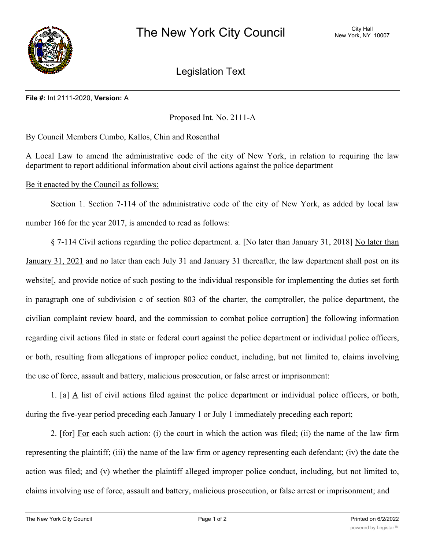

Legislation Text

## **File #:** Int 2111-2020, **Version:** A

Proposed Int. No. 2111-A

By Council Members Cumbo, Kallos, Chin and Rosenthal

A Local Law to amend the administrative code of the city of New York, in relation to requiring the law department to report additional information about civil actions against the police department

## Be it enacted by the Council as follows:

Section 1. Section 7-114 of the administrative code of the city of New York, as added by local law number 166 for the year 2017, is amended to read as follows:

§ 7-114 Civil actions regarding the police department. a. [No later than January 31, 2018] No later than January 31, 2021 and no later than each July 31 and January 31 thereafter, the law department shall post on its website[, and provide notice of such posting to the individual responsible for implementing the duties set forth in paragraph one of subdivision c of section 803 of the charter, the comptroller, the police department, the civilian complaint review board, and the commission to combat police corruption] the following information regarding civil actions filed in state or federal court against the police department or individual police officers, or both, resulting from allegations of improper police conduct, including, but not limited to, claims involving the use of force, assault and battery, malicious prosecution, or false arrest or imprisonment:

1. [a]  $\Delta$  list of civil actions filed against the police department or individual police officers, or both, during the five-year period preceding each January 1 or July 1 immediately preceding each report;

2. [for] For each such action: (i) the court in which the action was filed; (ii) the name of the law firm representing the plaintiff; (iii) the name of the law firm or agency representing each defendant; (iv) the date the action was filed; and (v) whether the plaintiff alleged improper police conduct, including, but not limited to, claims involving use of force, assault and battery, malicious prosecution, or false arrest or imprisonment; and

 $\overline{1}$  if an action has been resolved: (ii) the date on which it was resolved; (iii) the manner in which it was resolved; (iii) the manner in which it was resolved; (iii) the manner in which it was resolved; (iii) the m